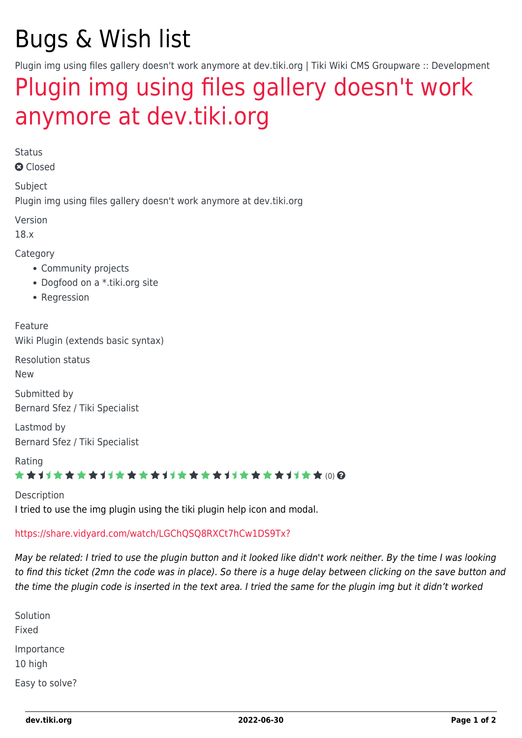# Bugs & Wish list

Plugin img using files gallery doesn't work anymore at dev.tiki.org | Tiki Wiki CMS Groupware :: Development

## [Plugin img using files gallery doesn't work](https://dev.tiki.org/item6883-Plugin-img-using-files-gallery-doesn-t-work-anymore-at-dev-tiki-org) [anymore at dev.tiki.org](https://dev.tiki.org/item6883-Plugin-img-using-files-gallery-doesn-t-work-anymore-at-dev-tiki-org)

Status

**a** Closed

Subject Plugin img using files gallery doesn't work anymore at dev.tiki.org

Version

18.x

Category

- Community projects
- Dogfood on a \*.tiki.org site
- Regression

Feature Wiki Plugin (extends basic syntax)

Resolution status

New

Submitted by Bernard Sfez / Tiki Specialist

Lastmod by Bernard Sfez / Tiki Specialist

Rating

#### \*\*\*\*\*\*\*\*\*\*\*\*\*\*\*\*\*\*\*\*\*\*\*\*\*\*\*\*\*\*

Description I tried to use the img plugin using the tiki plugin help icon and modal.

<https://share.vidyard.com/watch/LGChQSQ8RXCt7hCw1DS9Tx?>

May be related: I tried to use the plugin button and it looked like didn't work neither. By the time I was looking to find this ticket (2mn the code was in place). So there is a huge delay between clicking on the save button and the time the plugin code is inserted in the text area. I tried the same for the plugin img but it didn't worked

| Solution              |
|-----------------------|
| Fixed                 |
| Importance<br>10 high |
| Easy to solve?        |